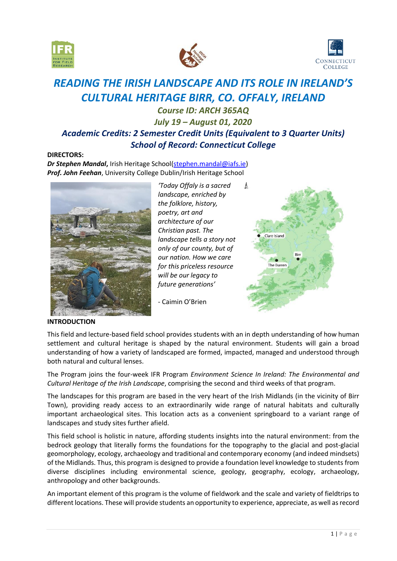





# *READING THE IRISH LANDSCAPE AND ITS ROLE IN IRELAND'S CULTURAL HERITAGE BIRR, CO. OFFALY, IRELAND*

# *Course ID: ARCH 365AQ July 19 – August 01, 2020 Academic Credits: 2 Semester Credit Units (Equivalent to 3 Quarter Units) School of Record: Connecticut College*

# **DIRECTORS:**

**Dr Stephen Mandal**, Irish Heritage School[\(stephen.mandal@iafs.ie\)](mailto:stephen.mandal@iafs.ie) *Prof. John Feehan*, University College Dublin/Irish Heritage School



*'Today Offaly is a sacred landscape, enriched by the folklore, history, poetry, art and architecture of our Christian past. The landscape tells a story not only of our county, but of our nation. How we care for this priceless resource will be our legacy to future generations'*



- Caimin O'Brien

### **INTRODUCTION**

This field and lecture-based field school provides students with an in depth understanding of how human settlement and cultural heritage is shaped by the natural environment. Students will gain a broad understanding of how a variety of landscaped are formed, impacted, managed and understood through both natural and cultural lenses.

The Program joins the four-week IFR Program *Environment Science In Ireland: The Environmental and Cultural Heritage of the Irish Landscape*, comprising the second and third weeks of that program.

The landscapes for this program are based in the very heart of the Irish Midlands (in the vicinity of Birr Town), providing ready access to an extraordinarily wide range of natural habitats and culturally important archaeological sites. This location acts as a convenient springboard to a variant range of landscapes and study sites further afield.

This field school is holistic in nature, affording students insights into the natural environment: from the bedrock geology that literally forms the foundations for the topography to the glacial and post-glacial geomorphology, ecology, archaeology and traditional and contemporary economy (and indeed mindsets) of the Midlands. Thus, this program is designed to provide a foundation level knowledge to students from diverse disciplines including environmental science, geology, geography, ecology, archaeology, anthropology and other backgrounds.

An important element of this program is the volume of fieldwork and the scale and variety of fieldtrips to different locations. These will provide students an opportunity to experience, appreciate, as well as record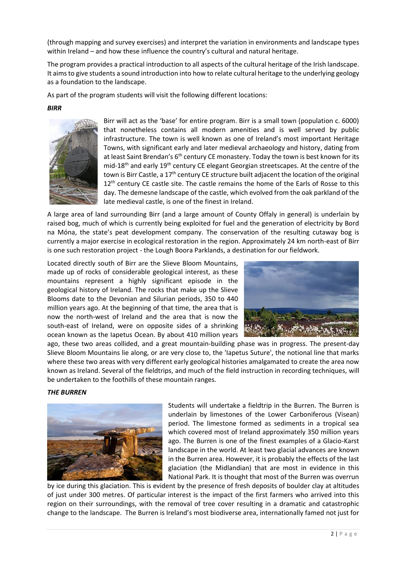(through mapping and survey exercises) and interpret the variation in environments and landscape types within Ireland – and how these influence the country's cultural and natural heritage.

The program provides a practical introduction to all aspects of the cultural heritage of the Irish landscape. It aims to give students a sound introduction into how to relate cultural heritage to the underlying geology as a foundation to the landscape.

As part of the program students will visit the following different locations:

### *BIRR*



Birr will act as the 'base' for entire program. Birr is a small town (population c. 6000) that nonetheless contains all modern amenities and is well served by public infrastructure. The town is well known as one of Ireland's most important Heritage Towns, with significant early and later medieval archaeology and history, dating from at least Saint Brendan's 6<sup>th</sup> century CE monastery. Today the town is best known for its mid-18<sup>th</sup> and early 19<sup>th</sup> century CE elegant Georgian streetscapes. At the centre of the town is Birr Castle, a 17<sup>th</sup> century CE structure built adjacent the location of the original 12<sup>th</sup> century CE castle site. The castle remains the home of the Earls of Rosse to this day. The demesne landscape of the castle, which evolved from the oak parkland of the late medieval castle, is one of the finest in Ireland.

A large area of land surrounding Birr (and a large amount of County Offaly in general) is underlain by raised bog, much of which is currently being exploited for fuel and the generation of electricity by Bord na Móna, the state's peat development company. The conservation of the resulting cutaway bog is currently a major exercise in ecological restoration in the region. Approximately 24 km north-east of Birr is one such restoration project - the Lough Boora Parklands, a destination for our fieldwork.

Located directly south of Birr are the Slieve Bloom Mountains, made up of rocks of considerable geological interest, as these mountains represent a highly significant episode in the geological history of Ireland. The rocks that make up the Slieve Blooms date to the Devonian and Silurian periods, 350 to 440 million years ago. At the beginning of that time, the area that is now the north-west of Ireland and the area that is now the south-east of Ireland, were on opposite sides of a shrinking ocean known as the Iapetus Ocean. By about 410 million years



ago, these two areas collided, and a great mountain-building phase was in progress. The present-day Slieve Bloom Mountains lie along, or are very close to, the 'Iapetus Suture', the notional line that marks where these two areas with very different early geological histories amalgamated to create the area now known as Ireland. Several of the fieldtrips, and much of the field instruction in recording techniques, will be undertaken to the foothills of these mountain ranges.

#### *THE BURREN*



Students will undertake a fieldtrip in the Burren. The Burren is underlain by limestones of the Lower Carboniferous (Visean) period. The limestone formed as sediments in a tropical sea which covered most of Ireland approximately 350 million years ago. The Burren is one of the finest examples of a Glacio-Karst landscape in the world. At least two glacial advances are known in the Burren area. However, it is probably the effects of the last glaciation (the Midlandian) that are most in evidence in this National Park. It is thought that most of the Burren was overrun

by ice during this glaciation. This is evident by the presence of fresh deposits of boulder clay at altitudes of just under 300 metres. Of particular interest is the impact of the first farmers who arrived into this region on their surroundings, with the removal of tree cover resulting in a dramatic and catastrophic change to the landscape. The Burren is Ireland's most biodiverse area, internationally famed not just for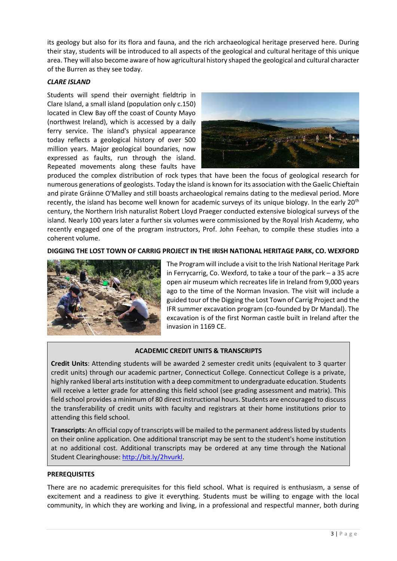its geology but also for its flora and fauna, and the rich archaeological heritage preserved here. During their stay, students will be introduced to all aspects of the geological and cultural heritage of this unique area. They will also become aware of how agricultural history shaped the geological and cultural character of the Burren as they see today.

# *CLARE ISLAND*

Students will spend their overnight fieldtrip in Clare Island, a small island (population only c.150) located in Clew Bay off the coast of County Mayo (northwest Ireland), which is accessed by a daily ferry service. The island's physical appearance today reflects a geological history of over 500 million years. Major geological boundaries, now expressed as faults, run through the island. Repeated movements along these faults have



produced the complex distribution of rock types that have been the focus of geological research for numerous generations of geologists. Today the island is known for its association with the Gaelic Chieftain and pirate Gráinne O'Malley and still boasts archaeological remains dating to the medieval period. More recently, the island has become well known for academic surveys of its unique biology. In the early 20<sup>th</sup> century, the Northern Irish naturalist Robert Lloyd Praeger conducted extensive biological surveys of the island. Nearly 100 years later a further six volumes were commissioned by the Royal Irish Academy, who recently engaged one of the program instructors, Prof. John Feehan, to compile these studies into a coherent volume.

**DIGGING THE LOST TOWN OF CARRIG PROJECT IN THE IRISH NATIONAL HERITAGE PARK, CO. WEXFORD**



The Program will include a visit to the Irish National Heritage Park in Ferrycarrig, Co. Wexford, to take a tour of the park – a 35 acre open air museum which recreates life in Ireland from 9,000 years ago to the time of the Norman Invasion. The visit will include a guided tour of the Digging the Lost Town of Carrig Project and the IFR summer excavation program (co-founded by Dr Mandal). The excavation is of the first Norman castle built in Ireland after the invasion in 1169 CE.

# **ACADEMIC CREDIT UNITS & TRANSCRIPTS**

**Credit Units**: Attending students will be awarded 2 semester credit units (equivalent to 3 quarter credit units) through our academic partner, Connecticut College. Connecticut College is a private, highly ranked liberal arts institution with a deep commitment to undergraduate education. Students will receive a letter grade for attending this field school (see grading assessment and matrix). This field school provides a minimum of 80 direct instructional hours. Students are encouraged to discuss the transferability of credit units with faculty and registrars at their home institutions prior to attending this field school.

**Transcripts**: An official copy of transcripts will be mailed to the permanent address listed by students on their online application. One additional transcript may be sent to the student's home institution at no additional cost. Additional transcripts may be ordered at any time through the National Student Clearinghouse: [http://bit.ly/2hvurkl.](http://bit.ly/2hvurkl)

#### **PREREQUISITES**

There are no academic prerequisites for this field school. What is required is enthusiasm, a sense of excitement and a readiness to give it everything. Students must be willing to engage with the local community, in which they are working and living, in a professional and respectful manner, both during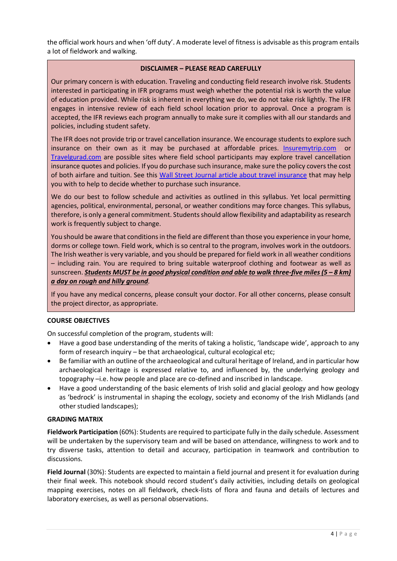the official work hours and when 'off duty'. A moderate level of fitness is advisable as this program entails a lot of fieldwork and walking.

# **DISCLAIMER – PLEASE READ CAREFULLY**

Our primary concern is with education. Traveling and conducting field research involve risk. Students interested in participating in IFR programs must weigh whether the potential risk is worth the value of education provided. While risk is inherent in everything we do, we do not take risk lightly. The IFR engages in intensive review of each field school location prior to approval. Once a program is accepted, the IFR reviews each program annually to make sure it complies with all our standards and policies, including student safety.

The IFR does not provide trip or travel cancellation insurance. We encourage students to explore such insurance on their own as it may be purchased at affordable prices. Insuremytrip.com [Travelgurad.com](http://www.travelgurad.com/) are possible sites where field school participants may explore travel cancellation insurance quotes and policies. If you do purchase such insurance, make sure the policy covers the cost of both airfare and tuition. See this [Wall Street Journal article about travel insurance](https://ifrglobal.org/wp-content/uploads/2019/05/WSJ-04-03-19-Travel-Insurance.pdf) that may help you with to help to decide whether to purchase such insurance.

We do our best to follow schedule and activities as outlined in this syllabus. Yet local permitting agencies, political, environmental, personal, or weather conditions may force changes. This syllabus, therefore, is only a general commitment. Students should allow flexibility and adaptability as research work is frequently subject to change.

You should be aware that conditions in the field are different than those you experience in your home, dorms or college town. Field work, which is so central to the program, involves work in the outdoors. The Irish weather is very variable, and you should be prepared for field work in all weather conditions – including rain. You are required to bring suitable waterproof clothing and footwear as well as sunscreen. *Students MUST be in good physical condition and able to walk three-five miles (5 – 8 km) a day on rough and hilly ground.*

If you have any medical concerns, please consult your doctor. For all other concerns, please consult the project director, as appropriate.

#### **COURSE OBJECTIVES**

On successful completion of the program, students will:

- Have a good base understanding of the merits of taking a holistic, 'landscape wide', approach to any form of research inquiry – be that archaeological, cultural ecological etc;
- Be familiar with an outline of the archaeological and cultural heritage of Ireland, and in particular how archaeological heritage is expressed relative to, and influenced by, the underlying geology and topography –i.e. how people and place are co-defined and inscribed in landscape.
- Have a good understanding of the basic elements of Irish solid and glacial geology and how geology as 'bedrock' is instrumental in shaping the ecology, society and economy of the Irish Midlands (and other studied landscapes);

#### **GRADING MATRIX**

**Fieldwork Participation** (60%): Students are required to participate fully in the daily schedule. Assessment will be undertaken by the supervisory team and will be based on attendance, willingness to work and to try disverse tasks, attention to detail and accuracy, participation in teamwork and contribution to discussions.

**Field Journal** (30%): Students are expected to maintain a field journal and present it for evaluation during their final week. This notebook should record student's daily activities, including details on geological mapping exercises, notes on all fieldwork, check-lists of flora and fauna and details of lectures and laboratory exercises, as well as personal observations.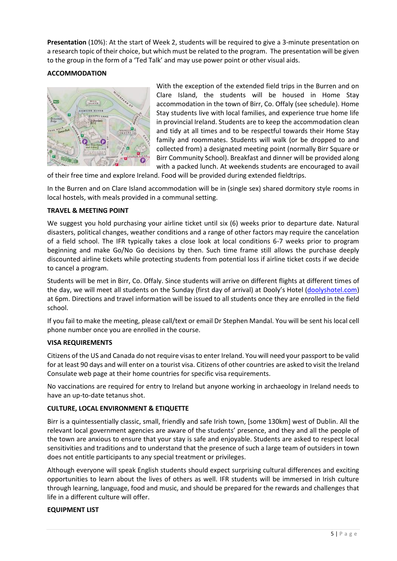**Presentation** (10%): At the start of Week 2, students will be required to give a 3-minute presentation on a research topic of their choice, but which must be related to the program. The presentation will be given to the group in the form of a 'Ted Talk' and may use power point or other visual aids.

# **ACCOMMODATION**



With the exception of the extended field trips in the Burren and on Clare Island, the students will be housed in Home Stay accommodation in the town of Birr, Co. Offaly (see schedule). Home Stay students live with local families, and experience true home life in provincial Ireland. Students are to keep the accommodation clean and tidy at all times and to be respectful towards their Home Stay family and roommates. Students will walk (or be dropped to and collected from) a designated meeting point (normally Birr Square or Birr Community School). Breakfast and dinner will be provided along with a packed lunch. At weekends students are encouraged to avail

of their free time and explore Ireland. Food will be provided during extended fieldtrips.

In the Burren and on Clare Island accommodation will be in (single sex) shared dormitory style rooms in local hostels, with meals provided in a communal setting.

#### **TRAVEL & MEETING POINT**

We suggest you hold purchasing your airline ticket until six (6) weeks prior to departure date. Natural disasters, political changes, weather conditions and a range of other factors may require the cancelation of a field school. The IFR typically takes a close look at local conditions 6-7 weeks prior to program beginning and make Go/No Go decisions by then. Such time frame still allows the purchase deeply discounted airline tickets while protecting students from potential loss if airline ticket costs if we decide to cancel a program.

Students will be met in Birr, Co. Offaly. Since students will arrive on different flights at different times of the day, we will meet all students on the Sunday (first day of arrival) at Dooly's Hotel [\(doolyshotel.com\)](http://www.doolyshotel.com/) at 6pm. Directions and travel information will be issued to all students once they are enrolled in the field school.

If you fail to make the meeting, please call/text or email Dr Stephen Mandal. You will be sent his local cell phone number once you are enrolled in the course.

#### **VISA REQUIREMENTS**

Citizens of the US and Canada do not require visas to enter Ireland. You will need your passport to be valid for at least 90 days and will enter on a tourist visa. Citizens of other countries are asked to visit the Ireland Consulate web page at their home countries for specific visa requirements.

No vaccinations are required for entry to Ireland but anyone working in archaeology in Ireland needs to have an up-to-date tetanus shot.

#### **CULTURE, LOCAL ENVIRONMENT & ETIQUETTE**

Birr is a quintessentially classic, small, friendly and safe Irish town, [some 130km] west of Dublin. All the relevant local government agencies are aware of the students' presence, and they and all the people of the town are anxious to ensure that your stay is safe and enjoyable. Students are asked to respect local sensitivities and traditions and to understand that the presence of such a large team of outsiders in town does not entitle participants to any special treatment or privileges.

Although everyone will speak English students should expect surprising cultural differences and exciting opportunities to learn about the lives of others as well. IFR students will be immersed in Irish culture through learning, language, food and music, and should be prepared for the rewards and challenges that life in a different culture will offer.

#### **EQUIPMENT LIST**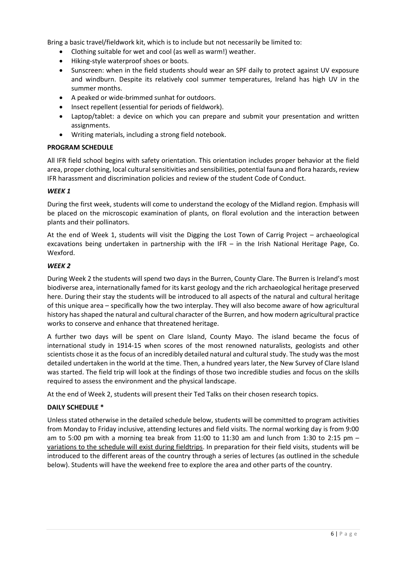Bring a basic travel/fieldwork kit, which is to include but not necessarily be limited to:

- Clothing suitable for wet and cool (as well as warm!) weather.
- Hiking-style waterproof shoes or boots.
- Sunscreen: when in the field students should wear an SPF daily to protect against UV exposure and windburn. Despite its relatively cool summer temperatures, Ireland has high UV in the summer months.
- A peaked or wide-brimmed sunhat for outdoors.
- Insect repellent (essential for periods of fieldwork).
- Laptop/tablet: a device on which you can prepare and submit your presentation and written assignments.
- Writing materials, including a strong field notebook.

# **PROGRAM SCHEDULE**

All IFR field school begins with safety orientation. This orientation includes proper behavior at the field area, proper clothing, local cultural sensitivities and sensibilities, potential fauna and flora hazards, review IFR harassment and discrimination policies and review of the student Code of Conduct.

# *WEEK 1*

During the first week, students will come to understand the ecology of the Midland region. Emphasis will be placed on the microscopic examination of plants, on floral evolution and the interaction between plants and their pollinators.

At the end of Week 1, students will visit the Digging the Lost Town of Carrig Project – archaeological excavations being undertaken in partnership with the IFR – in the Irish National Heritage Page, Co. Wexford.

# *WEEK 2*

During Week 2 the students will spend two days in the Burren, County Clare. The Burren is Ireland's most biodiverse area, internationally famed for its karst geology and the rich archaeological heritage preserved here. During their stay the students will be introduced to all aspects of the natural and cultural heritage of this unique area – specifically how the two interplay. They will also become aware of how agricultural history has shaped the natural and cultural character of the Burren, and how modern agricultural practice works to conserve and enhance that threatened heritage.

A further two days will be spent on Clare Island, County Mayo. The island became the focus of international study in 1914-15 when scores of the most renowned naturalists, geologists and other scientists chose it as the focus of an incredibly detailed natural and cultural study. The study was the most detailed undertaken in the world at the time. Then, a hundred years later, the New Survey of Clare Island was started. The field trip will look at the findings of those two incredible studies and focus on the skills required to assess the environment and the physical landscape.

At the end of Week 2, students will present their Ted Talks on their chosen research topics.

# **DAILY SCHEDULE \***

Unless stated otherwise in the detailed schedule below, students will be committed to program activities from Monday to Friday inclusive, attending lectures and field visits. The normal working day is from 9:00 am to 5:00 pm with a morning tea break from 11:00 to 11:30 am and lunch from 1:30 to 2:15 pm – variations to the schedule will exist during fieldtrips. In preparation for their field visits, students will be introduced to the different areas of the country through a series of lectures (as outlined in the schedule below). Students will have the weekend free to explore the area and other parts of the country.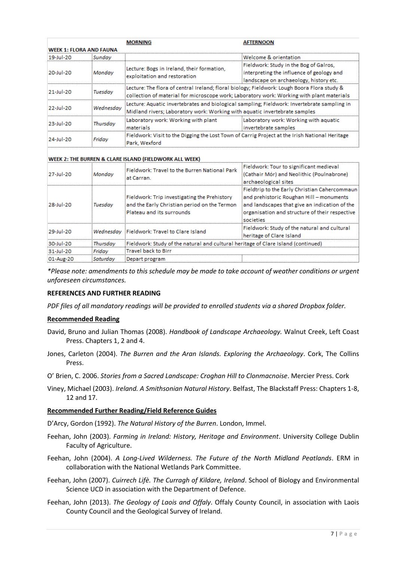|                                |           | <b>MORNING</b>                                                                                 | AFTERNOON                                 |  |  |
|--------------------------------|-----------|------------------------------------------------------------------------------------------------|-------------------------------------------|--|--|
| <b>WEEK 1: FLORA AND FAUNA</b> |           |                                                                                                |                                           |  |  |
| 19-Jul-20                      | Sundav    |                                                                                                | Welcome & orientation                     |  |  |
| 20-Jul-20                      | Monday    | Lecture: Bogs in Ireland, their formation,<br>exploitation and restoration                     | Fieldwork: Study in the Bog of Galros.    |  |  |
|                                |           |                                                                                                | interpreting the influence of geology and |  |  |
|                                |           |                                                                                                | landscape on archaeology, history etc.    |  |  |
| 21-Jul-20                      | Tuesdav   | Lecture: The flora of central Ireland; floral biology; Fieldwork: Lough Boora Flora study &    |                                           |  |  |
|                                |           | collection of material for microscope work; Laboratory work: Working with plant materials      |                                           |  |  |
| 22-Jul-20                      | Wednesdav | Lecture: Aquatic invertebrates and biological sampling; Fieldwork: Invertebrate sampling in    |                                           |  |  |
|                                |           | Midland rivers: Laboratory work: Working with aquatic invertebrate samples                     |                                           |  |  |
| 23-Jul-20                      | Thursdav  | Laboratory work: Working with plant                                                            | Laboratory work: Working with aquatic     |  |  |
|                                |           | materials                                                                                      | invertebrate samples                      |  |  |
| 24-Jul-20                      | Fridav    | Fieldwork: Visit to the Digging the Lost Town of Carrig Project at the Irish National Heritage |                                           |  |  |
|                                |           | Park, Wexford                                                                                  |                                           |  |  |

#### WEEK 2: THE BURREN & CLARE ISLAND (FIELDWORK ALL WEEK)

| 27-Jul-20 | Monday   | Fieldwork: Travel to the Burren National Park<br>at Carran.                                                               | Fieldwork: Tour to significant medieval<br>(Cathair Mór) and Neolithic (Poulnabrone)<br>archaeological sites                                                                                              |
|-----------|----------|---------------------------------------------------------------------------------------------------------------------------|-----------------------------------------------------------------------------------------------------------------------------------------------------------------------------------------------------------|
| 28-Jul-20 | Tuesdav  | Fieldwork: Trip investigating the Prehistory<br>and the Early Christian period on the Termon<br>Plateau and its surrounds | Fieldtrip to the Early Christian Cahercommaun<br>and prehistoric Roughan Hill - monuments<br>and landscapes that give an indication of the<br>organisation and structure of their respective<br>societies |
| 29-Jul-20 |          | Wednesday Fieldwork: Travel to Clare Island                                                                               | Fieldwork: Study of the natural and cultural<br>heritage of Clare Island                                                                                                                                  |
| 30-Jul-20 | Thursdav | Fieldwork: Study of the natural and cultural heritage of Clare Island (continued)                                         |                                                                                                                                                                                                           |
| 31-Jul-20 | Fridav   | Travel back to Birr                                                                                                       |                                                                                                                                                                                                           |
| 01-Aug-20 | Saturday | Depart program                                                                                                            |                                                                                                                                                                                                           |

*\*Please note: amendments to this schedule may be made to take account of weather conditions or urgent unforeseen circumstances.*

#### **REFERENCES AND FURTHER READING**

*PDF files of all mandatory readings will be provided to enrolled students via a shared Dropbox folder.*

#### **Recommended Reading**

- David, Bruno and Julian Thomas (2008). *Handbook of Landscape Archaeology.* Walnut Creek, Left Coast Press. Chapters 1, 2 and 4.
- Jones, Carleton (2004). *The Burren and the Aran Islands. Exploring the Archaeology*. Cork, The Collins Press.
- O' Brien, C. 2006. *Stories from a Sacred Landscape: Croghan Hill to Clonmacnoise*. Mercier Press. Cork
- Viney, Michael (2003). *Ireland. A Smithsonian Natural History*. Belfast, The Blackstaff Press: Chapters 1-8, 12 and 17.

#### **Recommended Further Reading/Field Reference Guides**

D'Arcy, Gordon (1992). *The Natural History of the Burren*. London, Immel.

- Feehan, John (2003). *Farming in Ireland: History, Heritage and Environment*. University College Dublin Faculty of Agriculture.
- Feehan, John (2004). *A Long-Lived Wilderness. The Future of the North Midland Peatlands*. ERM in collaboration with the National Wetlands Park Committee.
- Feehan, John (2007). *Cuirrech Lifè. The Curragh of Kildare, Ireland*. School of Biology and Environmental Science UCD in association with the Department of Defence.
- Feehan, John (2013). *The Geology of Laois and Offaly*. Offaly County Council, in association with Laois County Council and the Geological Survey of Ireland.